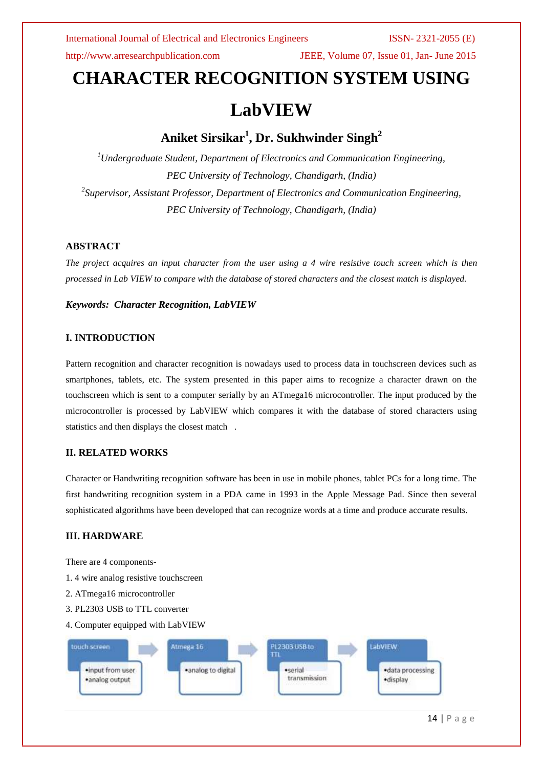http://www.arresearchpublication.com JEEE, Volume 07, Issue 01, Jan- June 2015

# **CHARACTER RECOGNITION SYSTEM USING**

# **LabVIEW**

## **Aniket Sirsikar<sup>1</sup> , Dr. Sukhwinder Singh<sup>2</sup>**

*<sup>1</sup>Undergraduate Student, Department of Electronics and Communication Engineering, PEC University of Technology, Chandigarh, (India) 2 Supervisor, Assistant Professor, Department of Electronics and Communication Engineering, PEC University of Technology, Chandigarh, (India)*

### **ABSTRACT**

*The project acquires an input character from the user using a 4 wire resistive touch screen which is then processed in Lab VIEW to compare with the database of stored characters and the closest match is displayed.*

*Keywords: Character Recognition, LabVIEW*

### **I. INTRODUCTION**

Pattern recognition and character recognition is nowadays used to process data in touchscreen devices such as smartphones, tablets, etc. The system presented in this paper aims to recognize a character drawn on the touchscreen which is sent to a computer serially by an ATmega16 microcontroller. The input produced by the microcontroller is processed by LabVIEW which compares it with the database of stored characters using statistics and then displays the closest match .

### **II. RELATED WORKS**

Character or Handwriting recognition software has been in use in mobile phones, tablet PCs for a long time. The first handwriting recognition system in a PDA came in 1993 in the Apple Message Pad. Since then several sophisticated algorithms have been developed that can recognize words at a time and produce accurate results.

### **III. HARDWARE**

There are 4 components-

- 1. 4 wire analog resistive touchscreen
- 2. ATmega16 microcontroller
- 3. PL2303 USB to TTL converter
- 4. Computer equipped with LabVIEW

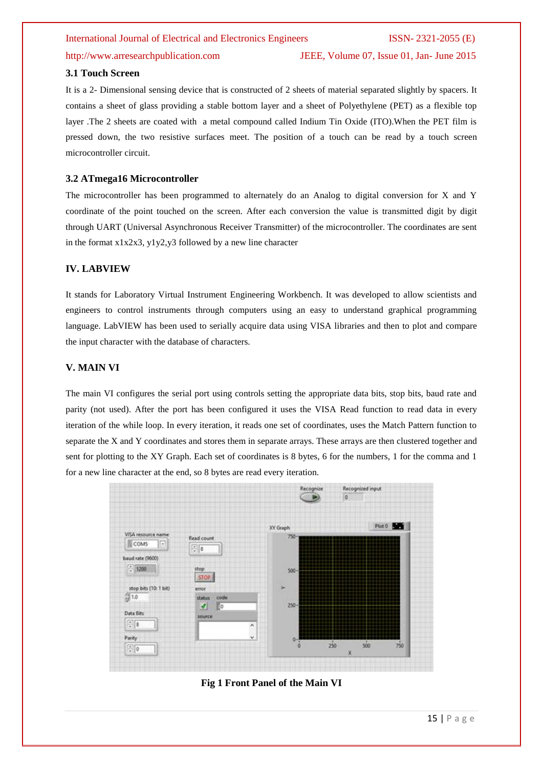#### http://www.arresearchpublication.com JEEE, Volume 07, Issue 01, Jan- June 2015

#### **3.1 Touch Screen**

It is a 2- Dimensional sensing device that is constructed of 2 sheets of material separated slightly by spacers. It contains a sheet of glass providing a stable bottom layer and a sheet of Polyethylene (PET) as a flexible top layer .The 2 sheets are coated with a metal compound called Indium Tin Oxide (ITO).When the PET film is pressed down, the two resistive surfaces meet. The position of a touch can be read by a touch screen microcontroller circuit.

#### **3.2 ATmega16 Microcontroller**

The microcontroller has been programmed to alternately do an Analog to digital conversion for X and Y coordinate of the point touched on the screen. After each conversion the value is transmitted digit by digit through UART (Universal Asynchronous Receiver Transmitter) of the microcontroller. The coordinates are sent in the format x1x2x3, y1y2,y3 followed by a new line character

#### **IV. LABVIEW**

It stands for Laboratory Virtual Instrument Engineering Workbench. It was developed to allow scientists and engineers to control instruments through computers using an easy to understand graphical programming language. LabVIEW has been used to serially acquire data using VISA libraries and then to plot and compare the input character with the database of characters.

#### **V. MAIN VI**

The main VI configures the serial port using controls setting the appropriate data bits, stop bits, baud rate and parity (not used). After the port has been configured it uses the VISA Read function to read data in every iteration of the while loop. In every iteration, it reads one set of coordinates, uses the Match Pattern function to separate the X and Y coordinates and stores them in separate arrays. These arrays are then clustered together and sent for plotting to the XY Graph. Each set of coordinates is 8 bytes, 6 for the numbers, 1 for the comma and 1 for a new line character at the end, so 8 bytes are read every iteration.



**Fig 1 Front Panel of the Main VI**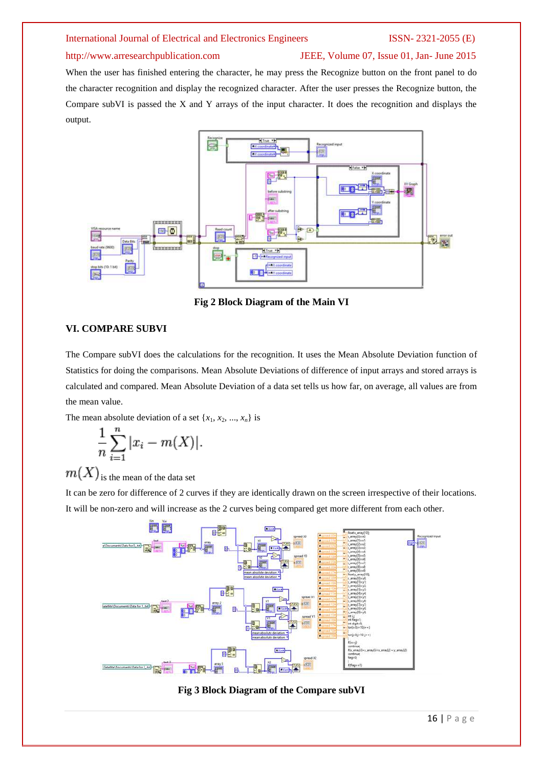#### http://www.arresearchpublication.com JEEE, Volume 07, Issue 01, Jan- June 2015

When the user has finished entering the character, he may press the Recognize button on the front panel to do the character recognition and display the recognized character. After the user presses the Recognize button, the Compare subVI is passed the X and Y arrays of the input character. It does the recognition and displays the output.



**Fig 2 Block Diagram of the Main VI**

### **VI. COMPARE SUBVI**

The Compare subVI does the calculations for the recognition. It uses the Mean Absolute Deviation function of Statistics for doing the comparisons. Mean Absolute Deviations of difference of input arrays and stored arrays is calculated and compared. Mean Absolute Deviation of a data set tells us how far, on average, all values are from the mean value.

The mean absolute deviation of a set  $\{x_1, x_2, ..., x_n\}$  is

$$
\frac{1}{n}\sum_{i=1}^{n}|x_i-m(X)|.
$$

 $\left. m(X) \right|_{\text{is the mean of the data set}}$ 

It can be zero for difference of 2 curves if they are identically drawn on the screen irrespective of their locations. It will be non-zero and will increase as the 2 curves being compared get more different from each other.



**Fig 3 Block Diagram of the Compare subVI**